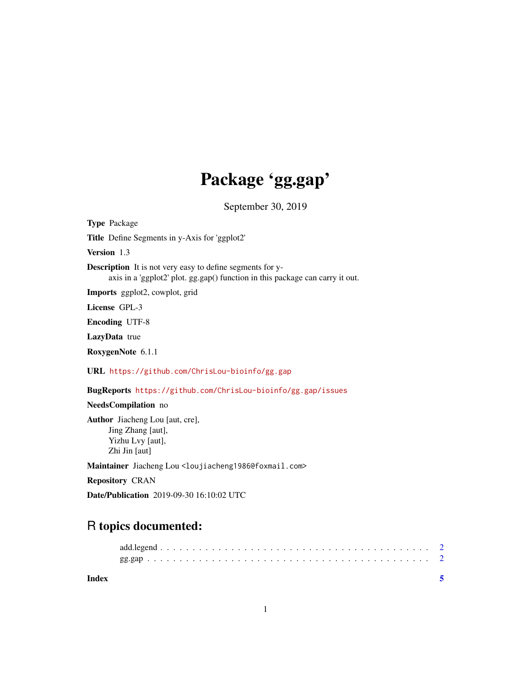## Package 'gg.gap'

September 30, 2019

Type Package Title Define Segments in y-Axis for 'ggplot2' Version 1.3 Description It is not very easy to define segments for yaxis in a 'ggplot2' plot. gg.gap() function in this package can carry it out. Imports ggplot2, cowplot, grid License GPL-3 Encoding UTF-8 LazyData true RoxygenNote 6.1.1 URL <https://github.com/ChrisLou-bioinfo/gg.gap> BugReports <https://github.com/ChrisLou-bioinfo/gg.gap/issues> NeedsCompilation no

Author Jiacheng Lou [aut, cre], Jing Zhang [aut], Yizhu Lvy [aut], Zhi Jin [aut]

Maintainer Jiacheng Lou <loujiacheng1986@foxmail.com>

Repository CRAN

Date/Publication 2019-09-30 16:10:02 UTC

### R topics documented:

| Index |  |
|-------|--|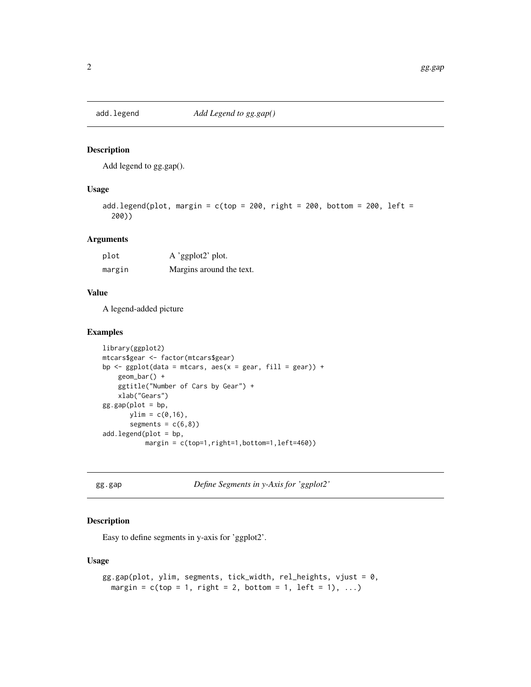<span id="page-1-0"></span>

#### Description

Add legend to gg.gap().

#### Usage

```
add.legend(plot, margin = c(top = 200, right = 200, bottom = 200, left =200))
```
#### Arguments

| plot   | A 'ggplot2' plot.        |
|--------|--------------------------|
| margin | Margins around the text. |

#### Value

A legend-added picture

#### Examples

```
library(ggplot2)
mtcars$gear <- factor(mtcars$gear)
bp \leq ggplot(data = mtcars, aes(x = gear, fill = gear)) +
   geom_bar() +
   ggtitle("Number of Cars by Gear") +
   xlab("Gears")
gg.gap(plot = bp,
      ylim = c(0,16),
       segments = c(6,8))
add.legend(plot = bp,
           margin = c(top=1,right=1,bottom=1,left=460))
```
gg.gap *Define Segments in y-Axis for 'ggplot2'*

#### Description

Easy to define segments in y-axis for 'ggplot2'.

#### Usage

```
gg.gap(plot, ylim, segments, tick_width, rel_heights, vjust = 0,
 margin = c(top = 1, right = 2, bottom = 1, left = 1), ...
```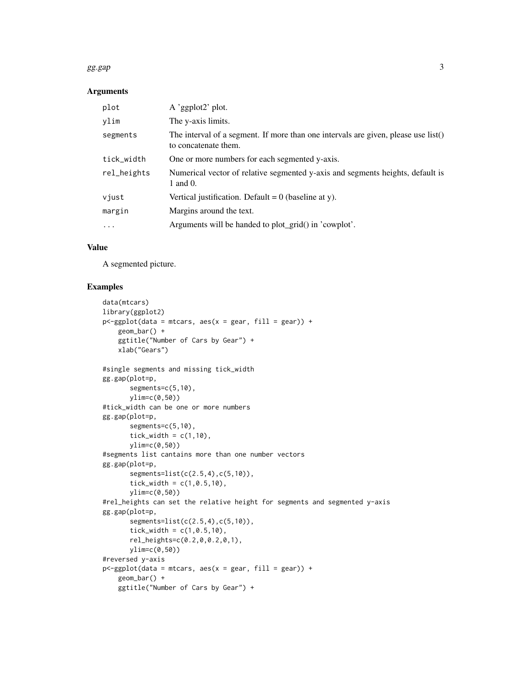#### $gg.$ gg.gap  $\qquad \qquad$  3

#### Arguments

| plot        | A 'ggplot $2$ ' plot.                                                                                        |
|-------------|--------------------------------------------------------------------------------------------------------------|
| ylim        | The y-axis limits.                                                                                           |
| segments    | The interval of a segment. If more than one intervals are given, please use $list()$<br>to concatenate them. |
| tick_width  | One or more numbers for each segmented y-axis.                                                               |
| rel_heights | Numerical vector of relative segmented y-axis and segments heights, default is<br>1 and 0.                   |
| vjust       | Vertical justification. Default = $0$ (baseline at y).                                                       |
| margin      | Margins around the text.                                                                                     |
| $\cdot$     | Arguments will be handed to plot_grid() in 'cowplot'.                                                        |

#### Value

A segmented picture.

#### Examples

```
data(mtcars)
library(ggplot2)
p <-ggplot(data = mtcars, aes(x = gear, fill = gear)) +
    geom_bar() +
    ggtitle("Number of Cars by Gear") +
   xlab("Gears")
#single segments and missing tick_width
gg.gap(plot=p,
       segments=c(5,10),
       ylim=c(0,50))
#tick_width can be one or more numbers
gg.gap(plot=p,
       segments=c(5,10),
       tick_width = c(1,10),
       ylim=c(0,50))
#segments list cantains more than one number vectors
gg.gap(plot=p,
       segments=list(c(2.5, 4), c(5, 10)),
       tick\_width = c(1, 0.5, 10),
       ylim=c(0,50))
#rel_heights can set the relative height for segments and segmented y-axis
gg.gap(plot=p,
       segments=list(c(2.5,4),c(5,10)),
       tick_width = c(1, 0.5, 10),
       rel_heights=c(0.2,0,0.2,0,1),
       ylim=c(0,50))
#reversed y-axis
p <-ggplot(data = mtcars, aes(x = gear, fill = gear)) +
   geom_bar() +
   ggtitle("Number of Cars by Gear") +
```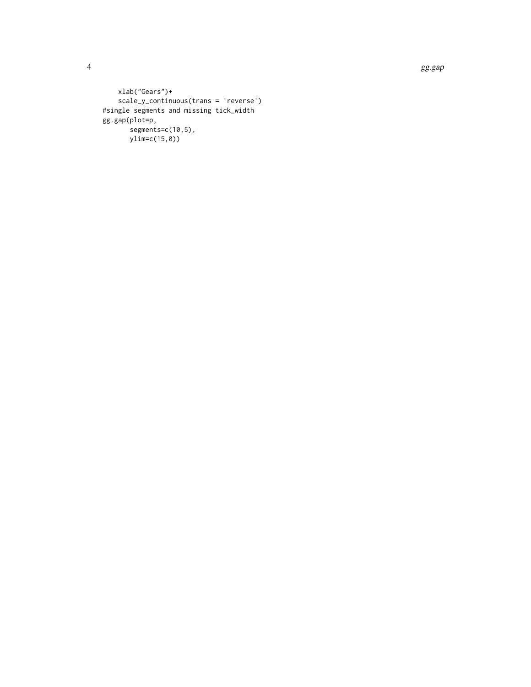4 gg.gap

```
xlab("Gears")+
   scale_y_continuous(trans = 'reverse')
#single segments and missing tick_width
gg.gap(plot=p,
      segments=c(10,5),
      ylim=c(15,0))
```